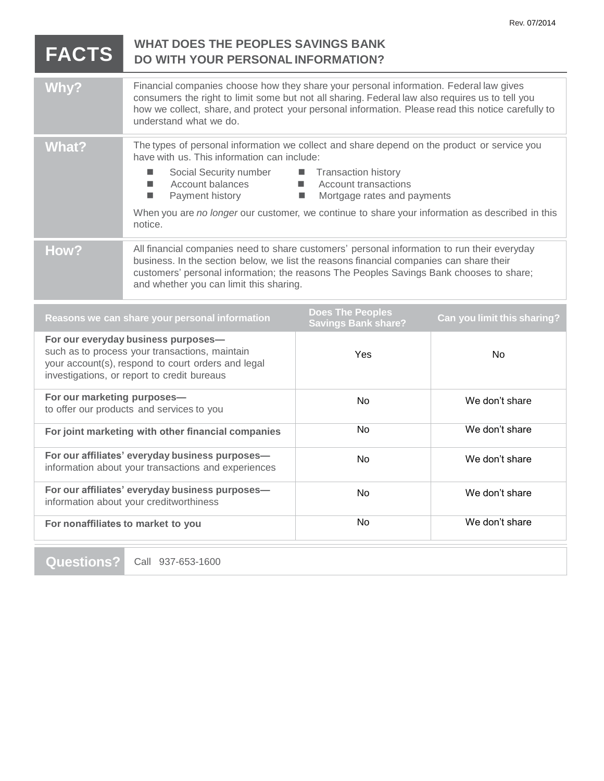|                                                                                                                                                                                            |                                                                                                                                                                                                                                                                                                                                                                                                                                             |                                                       | Rev. 07/2014                |
|--------------------------------------------------------------------------------------------------------------------------------------------------------------------------------------------|---------------------------------------------------------------------------------------------------------------------------------------------------------------------------------------------------------------------------------------------------------------------------------------------------------------------------------------------------------------------------------------------------------------------------------------------|-------------------------------------------------------|-----------------------------|
| <b>FACTS</b>                                                                                                                                                                               | <b>WHAT DOES THE PEOPLES SAVINGS BANK</b><br>DO WITH YOUR PERSONAL INFORMATION?                                                                                                                                                                                                                                                                                                                                                             |                                                       |                             |
| Why?                                                                                                                                                                                       | Financial companies choose how they share your personal information. Federal law gives<br>consumers the right to limit some but not all sharing. Federal law also requires us to tell you<br>how we collect, share, and protect your personal information. Please read this notice carefully to<br>understand what we do.                                                                                                                   |                                                       |                             |
| <b>What?</b>                                                                                                                                                                               | The types of personal information we collect and share depend on the product or service you<br>have with us. This information can include:<br>Social Security number ■ Transaction history<br>Account balances<br><b>Account transactions</b><br>ш<br>Payment history<br>Mortgage rates and payments<br>п<br><b>The State</b><br>When you are no longer our customer, we continue to share your information as described in this<br>notice. |                                                       |                             |
| How?                                                                                                                                                                                       | All financial companies need to share customers' personal information to run their everyday<br>business. In the section below, we list the reasons financial companies can share their<br>customers' personal information; the reasons The Peoples Savings Bank chooses to share;<br>and whether you can limit this sharing.                                                                                                                |                                                       |                             |
| Reasons we can share your personal information                                                                                                                                             |                                                                                                                                                                                                                                                                                                                                                                                                                                             | <b>Does The Peoples</b><br><b>Savings Bank share?</b> | Can you limit this sharing? |
| For our everyday business purposes-<br>such as to process your transactions, maintain<br>your account(s), respond to court orders and legal<br>investigations, or report to credit bureaus |                                                                                                                                                                                                                                                                                                                                                                                                                                             | Yes                                                   | <b>No</b>                   |
| For our marketing purposes-<br>to offer our products and services to you                                                                                                                   |                                                                                                                                                                                                                                                                                                                                                                                                                                             | No                                                    | We don't share              |
| For joint marketing with other financial companies                                                                                                                                         |                                                                                                                                                                                                                                                                                                                                                                                                                                             | No.                                                   | We don't share              |
| For our affiliates' everyday business purposes-<br>information about your transactions and experiences                                                                                     |                                                                                                                                                                                                                                                                                                                                                                                                                                             | No                                                    | We don't share              |
| For our affiliates' everyday business purposes-<br>information about your creditworthiness                                                                                                 |                                                                                                                                                                                                                                                                                                                                                                                                                                             | No                                                    | We don't share              |
| For nonaffiliates to market to you                                                                                                                                                         |                                                                                                                                                                                                                                                                                                                                                                                                                                             | No                                                    | We don't share              |

**Questions?** Call 937-653-1600